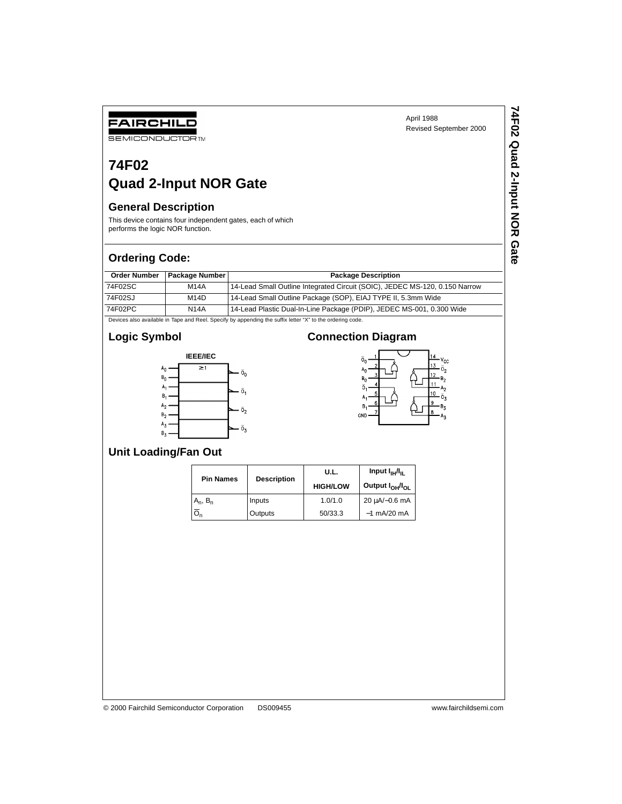# **74F02 Quad 2-Input NOR Gate**

### **General Description**

FAIRCHILD **SEMICONDUCTOR TM** 

This device contains four independent gates, each of which performs the logic NOR function.

#### **Ordering Code:**

| <b>Order Number</b> | <b>Package Number</b> | <b>Package Description</b>                                                  |
|---------------------|-----------------------|-----------------------------------------------------------------------------|
| 74F02SC             | <b>M14A</b>           | 14-Lead Small Outline Integrated Circuit (SOIC), JEDEC MS-120, 0.150 Narrow |
| 74F02SJ             | M <sub>14</sub> D     | 14-Lead Small Outline Package (SOP), EIAJ TYPE II, 5.3mm Wide               |
| 74F02PC             | <b>N14A</b>           | 14-Lead Plastic Dual-In-Line Package (PDIP), JEDEC MS-001, 0.300 Wide       |

Devices also available in Tape and Reel. Specify by appending the suffix letter "X" to the ordering code.

# **Logic Symbol**



## **Connection Diagram**



### **Unit Loading/Fan Out**

| <b>Pin Names</b> |                    | U.L.            | Input $I_{\text{H}}/I_{\text{H}}$       |  |  |
|------------------|--------------------|-----------------|-----------------------------------------|--|--|
|                  | <b>Description</b> | <b>HIGH/LOW</b> | Output I <sub>OH</sub> /I <sub>OL</sub> |  |  |
| $A_n$ , $B_n$    | Inputs             | 1.0/1.0         | 20 µA/-0.6 mA                           |  |  |
|                  | Outputs            | 50/33.3         | $-1$ mA/20 mA                           |  |  |

© 2000 Fairchild Semiconductor Corporation DS009455 www.fairchildsemi.com